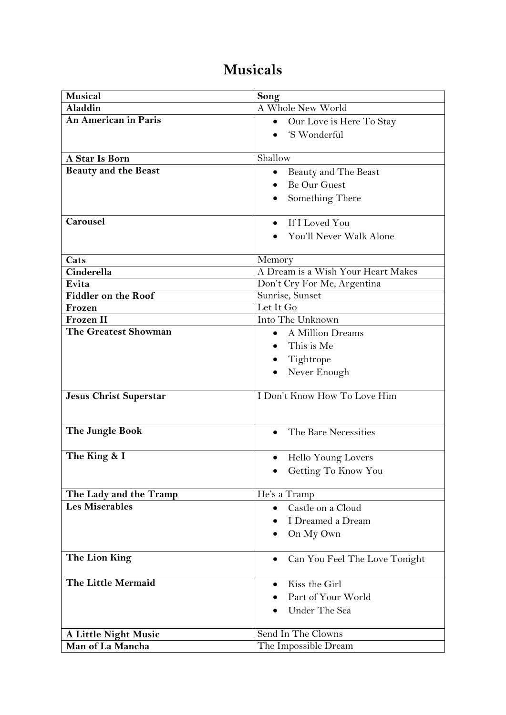## **Musicals**

| Musical                       | Song                                  |
|-------------------------------|---------------------------------------|
| <b>Aladdin</b>                | A Whole New World                     |
| An American in Paris          | Our Love is Here To Stay<br>$\bullet$ |
|                               | 'S Wonderful                          |
|                               |                                       |
| A Star Is Born                | Shallow                               |
| <b>Beauty and the Beast</b>   | Beauty and The Beast<br>$\bullet$     |
|                               | Be Our Guest                          |
|                               | Something There                       |
|                               |                                       |
| <b>Carousel</b>               | If I Loved You<br>$\bullet$           |
|                               | You'll Never Walk Alone               |
|                               |                                       |
| Cats                          | Memory                                |
| Cinderella                    | A Dream is a Wish Your Heart Makes    |
| Evita                         | Don't Cry For Me, Argentina           |
| <b>Fiddler on the Roof</b>    | Sunrise, Sunset                       |
| Frozen                        | Let It Go                             |
| <b>Frozen II</b>              | Into The Unknown                      |
| <b>The Greatest Showman</b>   | A Million Dreams<br>$\bullet$         |
|                               | This is Me<br>$\bullet$               |
|                               | Tightrope                             |
|                               | Never Enough                          |
|                               |                                       |
| <b>Jesus Christ Superstar</b> | I Don't Know How To Love Him          |
|                               |                                       |
|                               |                                       |
| The Jungle Book               | The Bare Necessities                  |
|                               |                                       |
| The King & I                  | Hello Young Lovers                    |
|                               | Getting To Know You                   |
|                               |                                       |
| The Lady and the Tramp        | He's a Tramp                          |
| <b>Les Miserables</b>         | Castle on a Cloud                     |
|                               | I Dreamed a Dream                     |
|                               | On My Own                             |
|                               |                                       |
| The Lion King                 | Can You Feel The Love Tonight         |
|                               |                                       |
| The Little Mermaid            | Kiss the Girl                         |
|                               | Part of Your World                    |
|                               | <b>Under The Sea</b>                  |
|                               |                                       |
| <b>A Little Night Music</b>   | Send In The Clowns                    |
| Man of La Mancha              | The Impossible Dream                  |